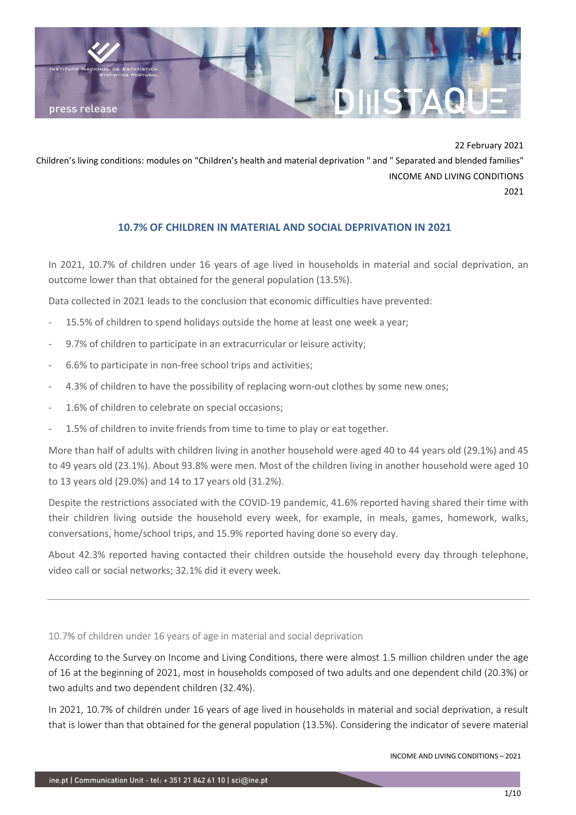

22 February 2021

Children's living conditions: modules on "Children's health and material deprivation " and " Separated and blended families" INCOME AND LIVING CONDITIONS

2021

## 10.7% OF CHILDREN IN MATERIAL AND SOCIAL DEPRIVATION IN 2021

In 2021, 10.7% of children under 16 years of age lived in households in material and social deprivation, an outcome lower than that obtained for the general population (13.5%).

Data collected in 2021 leads to the conclusion that economic difficulties have prevented:

- 15.5% of children to spend holidays outside the home at least one week a year;
- 9.7% of children to participate in an extracurricular or leisure activity;
- 6.6% to participate in non-free school trips and activities;
- 4.3% of children to have the possibility of replacing worn-out clothes by some new ones;
- 1.6% of children to celebrate on special occasions;
- 1.5% of children to invite friends from time to time to play or eat together.

More than half of adults with children living in another household were aged 40 to 44 years old (29.1%) and 45 to 49 years old (23.1%). About 93.8% were men. Most of the children living in another household were aged 10 to 13 years old (29.0%) and 14 to 17 years old (31.2%).

Despite the restrictions associated with the COVID-19 pandemic, 41.6% reported having shared their time with their children living outside the household every week, for example, in meals, games, homework, walks, conversations, home/school trips, and 15.9% reported having done so every day.

About 42.3% reported having contacted their children outside the household every day through telephone, video call or social networks; 32.1% did it every week.

10.7% of children under 16 years of age in material and social deprivation

According to the Survey on Income and Living Conditions, there were almost 1.5 million children under the age of 16 at the beginning of 2021, most in households composed of two adults and one dependent child (20.3%) or two adults and two dependent children (32.4%).

In 2021, 10.7% of children under 16 years of age lived in households in material and social deprivation, a result that is lower than that obtained for the general population (13.5%). Considering the indicator of severe material

INCOME AND LIVING CONDITIONS – 2021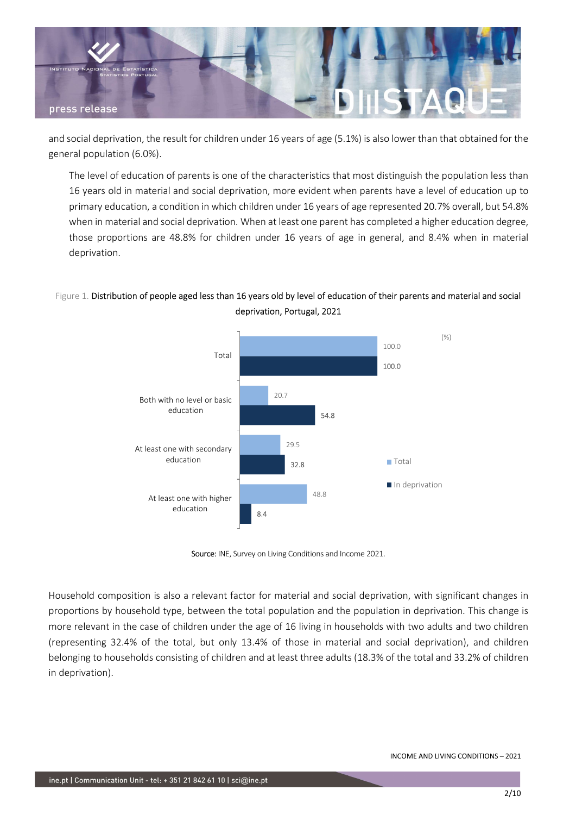

and social deprivation, the result for children under 16 years of age (5.1%) is also lower than that obtained for the general population (6.0%).

The level of education of parents is one of the characteristics that most distinguish the population less than 16 years old in material and social deprivation, more evident when parents have a level of education up to primary education, a condition in which children under 16 years of age represented 20.7% overall, but 54.8% when in material and social deprivation. When at least one parent has completed a higher education degree, those proportions are 48.8% for children under 16 years of age in general, and 8.4% when in material deprivation.

## Figure 1. Distribution of people aged less than 16 years old by level of education of their parents and material and social deprivation, Portugal, 2021



Source: INE, Survey on Living Conditions and Income 2021.

Household composition is also a relevant factor for material and social deprivation, with significant changes in proportions by household type, between the total population and the population in deprivation. This change is more relevant in the case of children under the age of 16 living in households with two adults and two children (representing 32.4% of the total, but only 13.4% of those in material and social deprivation), and children belonging to households consisting of children and at least three adults (18.3% of the total and 33.2% of children in deprivation).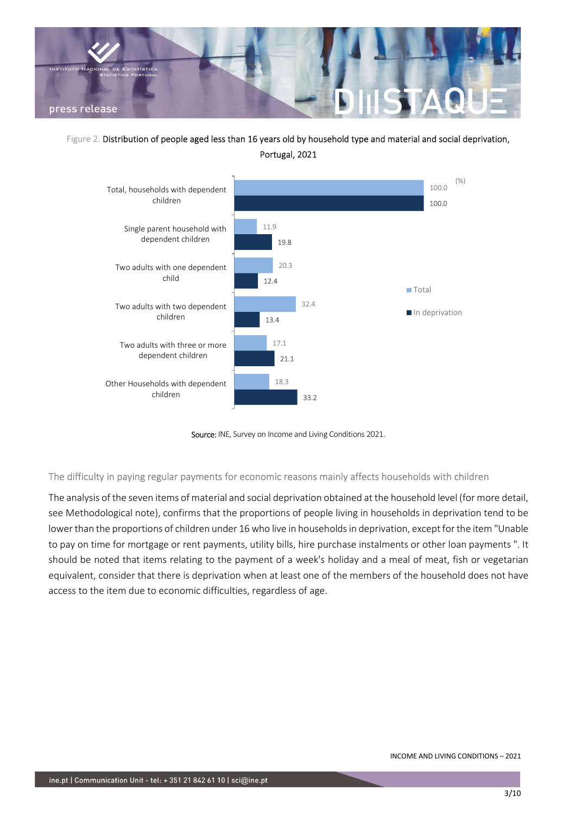

## Figure 2. Distribution of people aged less than 16 years old by household type and material and social deprivation, Portugal, 2021



Source: INE, Survey on Income and Living Conditions 2021.

The difficulty in paying regular payments for economic reasons mainly affects households with children

The analysis of the seven items of material and social deprivation obtained at the household level (for more detail, see Methodological note), confirms that the proportions of people living in households in deprivation tend to be lower than the proportions of children under 16 who live in households in deprivation, except for the item "Unable to pay on time for mortgage or rent payments, utility bills, hire purchase instalments or other loan payments ". It should be noted that items relating to the payment of a week's holiday and a meal of meat, fish or vegetarian equivalent, consider that there is deprivation when at least one of the members of the household does not have access to the item due to economic difficulties, regardless of age.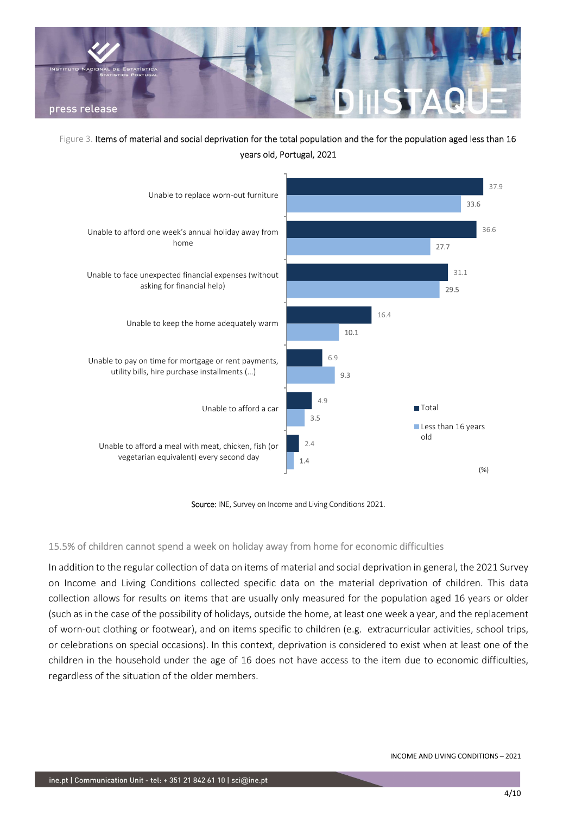

# Figure 3. Items of material and social deprivation for the total population and the for the population aged less than 16 years old, Portugal, 2021



Source: INE, Survey on Income and Living Conditions 2021.

#### 15.5% of children cannot spend a week on holiday away from home for economic difficulties

In addition to the regular collection of data on items of material and social deprivation in general, the 2021 Survey on Income and Living Conditions collected specific data on the material deprivation of children. This data collection allows for results on items that are usually only measured for the population aged 16 years or older (such as in the case of the possibility of holidays, outside the home, at least one week a year, and the replacement of worn-out clothing or footwear), and on items specific to children (e.g. extracurricular activities, school trips, or celebrations on special occasions). In this context, deprivation is considered to exist when at least one of the children in the household under the age of 16 does not have access to the item due to economic difficulties, regardless of the situation of the older members.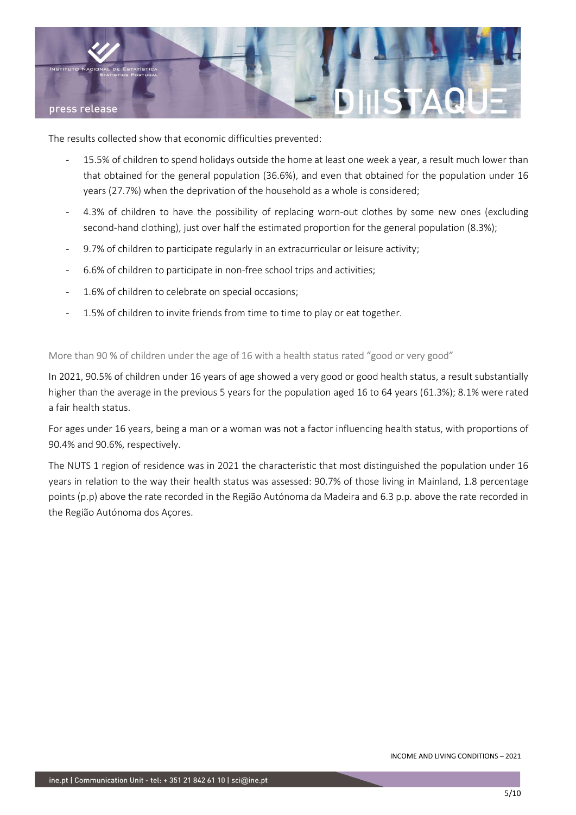

The results collected show that economic difficulties prevented:

- 15.5% of children to spend holidays outside the home at least one week a year, a result much lower than that obtained for the general population (36.6%), and even that obtained for the population under 16 years (27.7%) when the deprivation of the household as a whole is considered;
- 4.3% of children to have the possibility of replacing worn-out clothes by some new ones (excluding second-hand clothing), just over half the estimated proportion for the general population (8.3%);
- 9.7% of children to participate regularly in an extracurricular or leisure activity;
- 6.6% of children to participate in non-free school trips and activities;
- 1.6% of children to celebrate on special occasions;
- 1.5% of children to invite friends from time to time to play or eat together.

More than 90 % of children under the age of 16 with a health status rated "good or very good"

In 2021, 90.5% of children under 16 years of age showed a very good or good health status, a result substantially higher than the average in the previous 5 years for the population aged 16 to 64 years (61.3%); 8.1% were rated a fair health status.

For ages under 16 years, being a man or a woman was not a factor influencing health status, with proportions of 90.4% and 90.6%, respectively.

The NUTS 1 region of residence was in 2021 the characteristic that most distinguished the population under 16 years in relation to the way their health status was assessed: 90.7% of those living in Mainland, 1.8 percentage points (p.p) above the rate recorded in the Região Autónoma da Madeira and 6.3 p.p. above the rate recorded in the Região Autónoma dos Açores.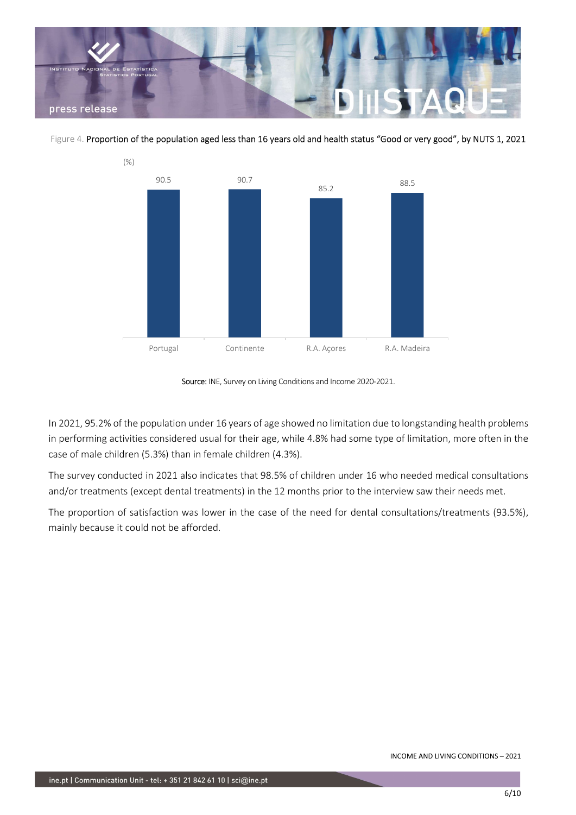

Figure 4. Proportion of the population aged less than 16 years old and health status "Good or very good", by NUTS 1, 2021



Source: INE, Survey on Living Conditions and Income 2020-2021.

In 2021, 95.2% of the population under 16 years of age showed no limitation due to longstanding health problems in performing activities considered usual for their age, while 4.8% had some type of limitation, more often in the case of male children (5.3%) than in female children (4.3%).

The survey conducted in 2021 also indicates that 98.5% of children under 16 who needed medical consultations and/or treatments (except dental treatments) in the 12 months prior to the interview saw their needs met.

The proportion of satisfaction was lower in the case of the need for dental consultations/treatments (93.5%), mainly because it could not be afforded.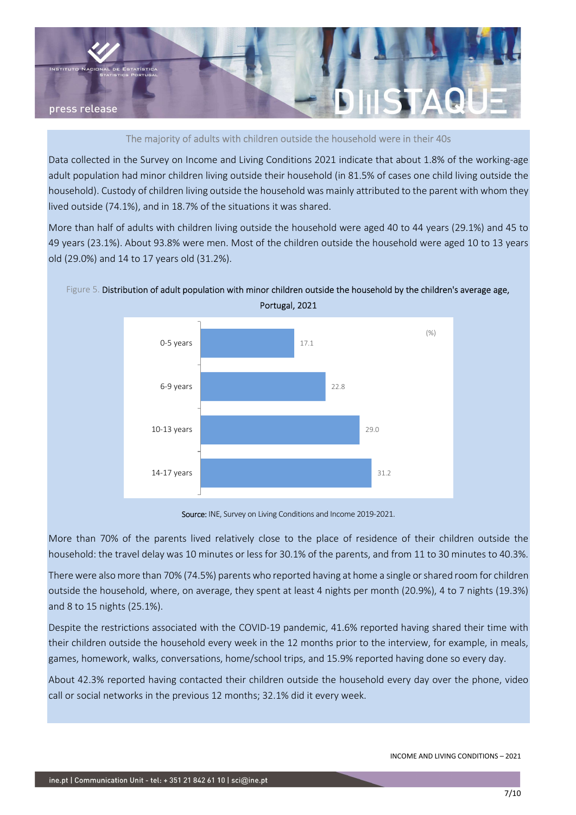

The majority of adults with children outside the household were in their 40s

Data collected in the Survey on Income and Living Conditions 2021 indicate that about 1.8% of the working-age adult population had minor children living outside their household (in 81.5% of cases one child living outside the household). Custody of children living outside the household was mainly attributed to the parent with whom they lived outside (74.1%), and in 18.7% of the situations it was shared.

More than half of adults with children living outside the household were aged 40 to 44 years (29.1%) and 45 to 49 years (23.1%). About 93.8% were men. Most of the children outside the household were aged 10 to 13 years old (29.0%) and 14 to 17 years old (31.2%).



Figure 5. Distribution of adult population with minor children outside the household by the children's average age, Portugal, 2021

Source: INE, Survey on Living Conditions and Income 2019-2021.

More than 70% of the parents lived relatively close to the place of residence of their children outside the household: the travel delay was 10 minutes or less for 30.1% of the parents, and from 11 to 30 minutes to 40.3%.

There were also more than 70% (74.5%) parents who reported having at home a single or shared room for children outside the household, where, on average, they spent at least 4 nights per month (20.9%), 4 to 7 nights (19.3%) and 8 to 15 nights (25.1%).

Despite the restrictions associated with the COVID-19 pandemic, 41.6% reported having shared their time with their children outside the household every week in the 12 months prior to the interview, for example, in meals, games, homework, walks, conversations, home/school trips, and 15.9% reported having done so every day.

About 42.3% reported having contacted their children outside the household every day over the phone, video call or social networks in the previous 12 months; 32.1% did it every week.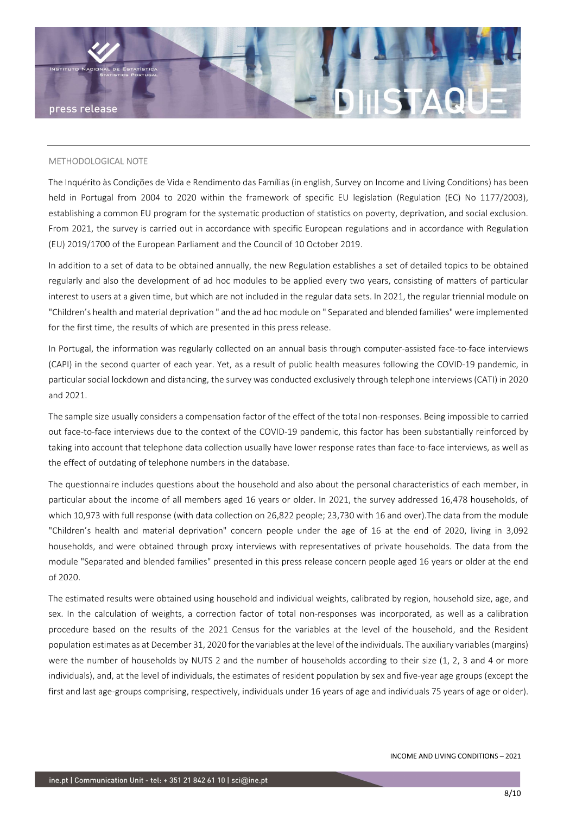

#### METHODOLOGICAL NOTE

The Inquérito às Condições de Vida e Rendimento das Famílias (in english, Survey on Income and Living Conditions) has been held in Portugal from 2004 to 2020 within the framework of specific EU legislation (Regulation (EC) No 1177/2003), establishing a common EU program for the systematic production of statistics on poverty, deprivation, and social exclusion. From 2021, the survey is carried out in accordance with specific European regulations and in accordance with Regulation (EU) 2019/1700 of the European Parliament and the Council of 10 October 2019.

In addition to a set of data to be obtained annually, the new Regulation establishes a set of detailed topics to be obtained regularly and also the development of ad hoc modules to be applied every two years, consisting of matters of particular interest to users at a given time, but which are not included in the regular data sets. In 2021, the regular triennial module on "Children's health and material deprivation " and the ad hoc module on " Separated and blended families" were implemented for the first time, the results of which are presented in this press release.

In Portugal, the information was regularly collected on an annual basis through computer-assisted face-to-face interviews (CAPI) in the second quarter of each year. Yet, as a result of public health measures following the COVID-19 pandemic, in particular social lockdown and distancing, the survey was conducted exclusively through telephone interviews (CATI) in 2020 and 2021.

The sample size usually considers a compensation factor of the effect of the total non-responses. Being impossible to carried out face-to-face interviews due to the context of the COVID-19 pandemic, this factor has been substantially reinforced by taking into account that telephone data collection usually have lower response rates than face-to-face interviews, as well as the effect of outdating of telephone numbers in the database.

The questionnaire includes questions about the household and also about the personal characteristics of each member, in particular about the income of all members aged 16 years or older. In 2021, the survey addressed 16,478 households, of which 10,973 with full response (with data collection on 26,822 people; 23,730 with 16 and over).The data from the module "Children's health and material deprivation" concern people under the age of 16 at the end of 2020, living in 3,092 households, and were obtained through proxy interviews with representatives of private households. The data from the module "Separated and blended families" presented in this press release concern people aged 16 years or older at the end of 2020.

The estimated results were obtained using household and individual weights, calibrated by region, household size, age, and sex. In the calculation of weights, a correction factor of total non-responses was incorporated, as well as a calibration procedure based on the results of the 2021 Census for the variables at the level of the household, and the Resident population estimates as at December 31, 2020 for the variables at the level of the individuals. The auxiliary variables (margins) were the number of households by NUTS 2 and the number of households according to their size (1, 2, 3 and 4 or more individuals), and, at the level of individuals, the estimates of resident population by sex and five-year age groups (except the first and last age-groups comprising, respectively, individuals under 16 years of age and individuals 75 years of age or older).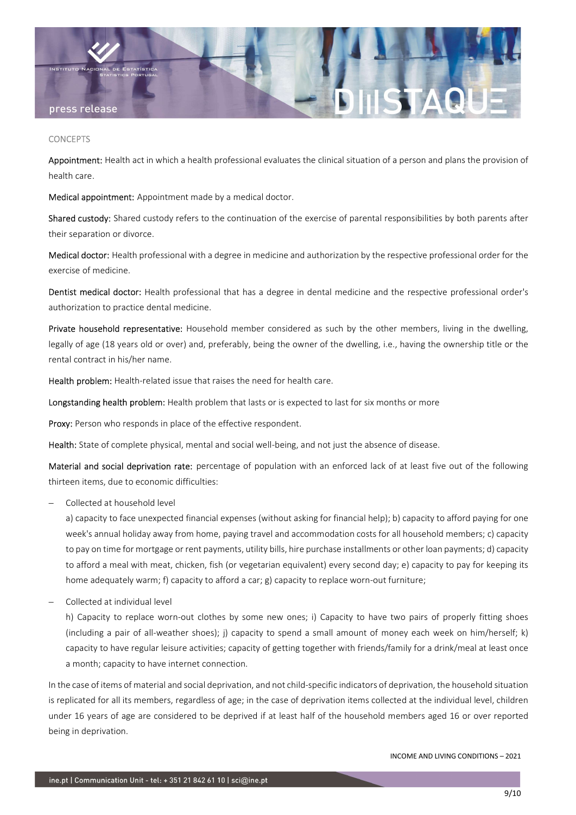

#### **CONCEPTS**

Appointment: Health act in which a health professional evaluates the clinical situation of a person and plans the provision of health care.

Medical appointment: Appointment made by a medical doctor.

Shared custody: Shared custody refers to the continuation of the exercise of parental responsibilities by both parents after their separation or divorce.

Medical doctor: Health professional with a degree in medicine and authorization by the respective professional order for the exercise of medicine.

Dentist medical doctor: Health professional that has a degree in dental medicine and the respective professional order's authorization to practice dental medicine.

Private household representative: Household member considered as such by the other members, living in the dwelling, legally of age (18 years old or over) and, preferably, being the owner of the dwelling, i.e., having the ownership title or the rental contract in his/her name.

Health problem: Health-related issue that raises the need for health care.

Longstanding health problem: Health problem that lasts or is expected to last for six months or more

Proxy: Person who responds in place of the effective respondent.

Health: State of complete physical, mental and social well-being, and not just the absence of disease.

Material and social deprivation rate: percentage of population with an enforced lack of at least five out of the following thirteen items, due to economic difficulties:

Collected at household level

a) capacity to face unexpected financial expenses (without asking for financial help); b) capacity to afford paying for one week's annual holiday away from home, paying travel and accommodation costs for all household members; c) capacity to pay on time for mortgage or rent payments, utility bills, hire purchase installments or other loan payments; d) capacity to afford a meal with meat, chicken, fish (or vegetarian equivalent) every second day; e) capacity to pay for keeping its home adequately warm; f) capacity to afford a car; g) capacity to replace worn-out furniture;

Collected at individual level

h) Capacity to replace worn-out clothes by some new ones; i) Capacity to have two pairs of properly fitting shoes (including a pair of all-weather shoes); j) capacity to spend a small amount of money each week on him/herself; k) capacity to have regular leisure activities; capacity of getting together with friends/family for a drink/meal at least once a month; capacity to have internet connection.

In the case of items of material and social deprivation, and not child-specific indicators of deprivation, the household situation is replicated for all its members, regardless of age; in the case of deprivation items collected at the individual level, children under 16 years of age are considered to be deprived if at least half of the household members aged 16 or over reported being in deprivation.

INCOME AND LIVING CONDITIONS – 2021